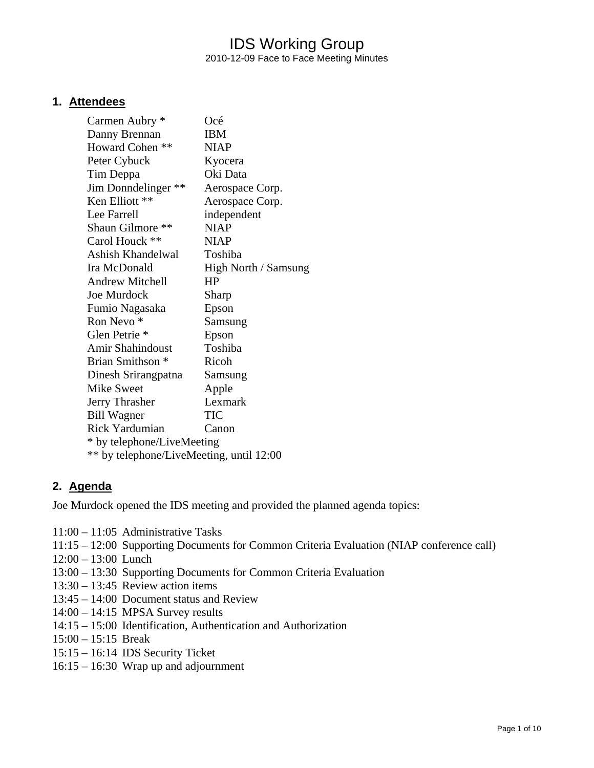## IDS Working Group 2010-12-09 Face to Face Meeting Minutes

#### **1. Attendees**

| Carmen Aubry *                           | Océ                  |
|------------------------------------------|----------------------|
| Danny Brennan                            | IBM                  |
| Howard Cohen **                          | <b>NIAP</b>          |
| Peter Cybuck                             | Kyocera              |
| Tim Deppa                                | Oki Data             |
| Jim Donndelinger **                      | Aerospace Corp.      |
| Ken Elliott **                           | Aerospace Corp.      |
| Lee Farrell                              | independent          |
| Shaun Gilmore **                         | <b>NIAP</b>          |
| Carol Houck **                           | <b>NIAP</b>          |
| Ashish Khandelwal                        | Toshiba              |
| Ira McDonald                             | High North / Samsung |
| <b>Andrew Mitchell</b>                   | HP                   |
| <b>Joe Murdock</b>                       | Sharp                |
| Fumio Nagasaka                           | Epson                |
| Ron Nevo <sup>*</sup>                    | Samsung              |
| Glen Petrie <sup>*</sup>                 | Epson                |
| Amir Shahindoust                         | Toshiba              |
| Brian Smithson *                         | Ricoh                |
| Dinesh Srirangpatna                      | Samsung              |
| Mike Sweet                               | Apple                |
| Jerry Thrasher                           | Lexmark              |
| <b>Bill Wagner</b>                       | TIC                  |
| Rick Yardumian                           | Canon                |
| * by telephone/LiveMeeting               |                      |
| ** by telephone/LiveMeeting, until 12:00 |                      |

### **2. Agenda**

Joe Murdock opened the IDS meeting and provided the planned agenda topics:

- 11:00 11:05 Administrative Tasks
- 11:15 12:00 Supporting Documents for Common Criteria Evaluation (NIAP conference call)
- 12:00 13:00 Lunch
- 13:00 13:30 Supporting Documents for Common Criteria Evaluation
- 13:30 13:45 Review action items
- 13:45 14:00 Document status and Review
- 14:00 14:15 MPSA Survey results
- 14:15 15:00 Identification, Authentication and Authorization
- 15:00 15:15 Break
- 15:15 16:14 IDS Security Ticket
- 16:15 16:30 Wrap up and adjournment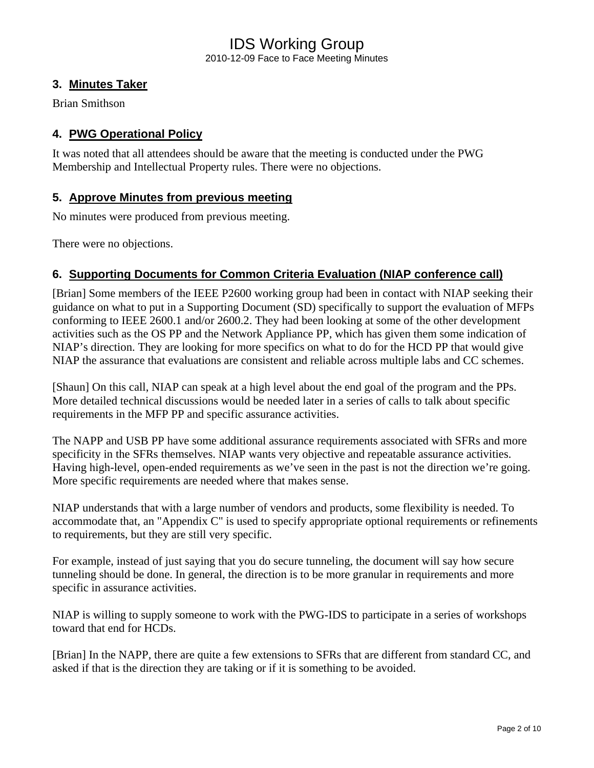## IDS Working Group 2010-12-09 Face to Face Meeting Minutes

## **3. Minutes Taker**

Brian Smithson

## **4. PWG Operational Policy**

It was noted that all attendees should be aware that the meeting is conducted under the PWG Membership and Intellectual Property rules. There were no objections.

### **5. Approve Minutes from previous meeting**

No minutes were produced from previous meeting.

There were no objections.

### **6. Supporting Documents for Common Criteria Evaluation (NIAP conference call)**

[Brian] Some members of the IEEE P2600 working group had been in contact with NIAP seeking their guidance on what to put in a Supporting Document (SD) specifically to support the evaluation of MFPs conforming to IEEE 2600.1 and/or 2600.2. They had been looking at some of the other development activities such as the OS PP and the Network Appliance PP, which has given them some indication of NIAP's direction. They are looking for more specifics on what to do for the HCD PP that would give NIAP the assurance that evaluations are consistent and reliable across multiple labs and CC schemes.

[Shaun] On this call, NIAP can speak at a high level about the end goal of the program and the PPs. More detailed technical discussions would be needed later in a series of calls to talk about specific requirements in the MFP PP and specific assurance activities.

The NAPP and USB PP have some additional assurance requirements associated with SFRs and more specificity in the SFRs themselves. NIAP wants very objective and repeatable assurance activities. Having high-level, open-ended requirements as we've seen in the past is not the direction we're going. More specific requirements are needed where that makes sense.

NIAP understands that with a large number of vendors and products, some flexibility is needed. To accommodate that, an "Appendix C" is used to specify appropriate optional requirements or refinements to requirements, but they are still very specific.

For example, instead of just saying that you do secure tunneling, the document will say how secure tunneling should be done. In general, the direction is to be more granular in requirements and more specific in assurance activities.

NIAP is willing to supply someone to work with the PWG-IDS to participate in a series of workshops toward that end for HCDs.

[Brian] In the NAPP, there are quite a few extensions to SFRs that are different from standard CC, and asked if that is the direction they are taking or if it is something to be avoided.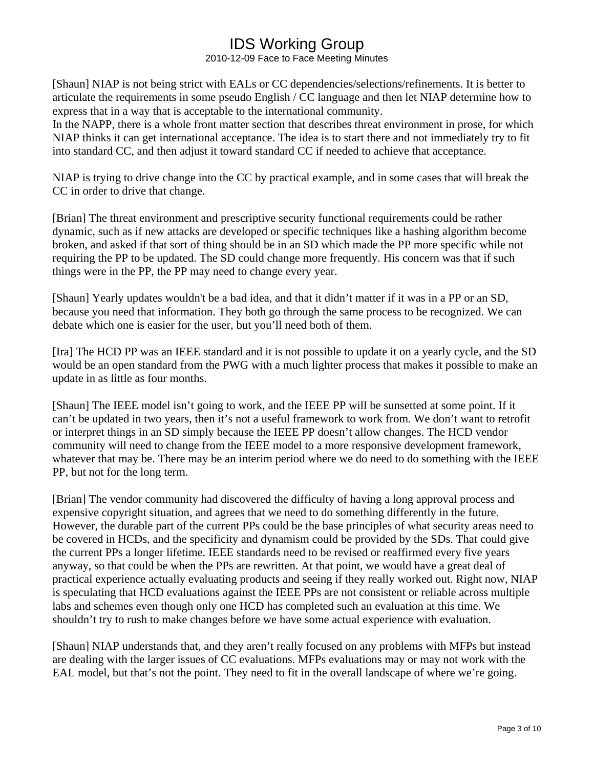2010-12-09 Face to Face Meeting Minutes

[Shaun] NIAP is not being strict with EALs or CC dependencies/selections/refinements. It is better to articulate the requirements in some pseudo English / CC language and then let NIAP determine how to express that in a way that is acceptable to the international community.

In the NAPP, there is a whole front matter section that describes threat environment in prose, for which NIAP thinks it can get international acceptance. The idea is to start there and not immediately try to fit into standard CC, and then adjust it toward standard CC if needed to achieve that acceptance.

NIAP is trying to drive change into the CC by practical example, and in some cases that will break the CC in order to drive that change.

[Brian] The threat environment and prescriptive security functional requirements could be rather dynamic, such as if new attacks are developed or specific techniques like a hashing algorithm become broken, and asked if that sort of thing should be in an SD which made the PP more specific while not requiring the PP to be updated. The SD could change more frequently. His concern was that if such things were in the PP, the PP may need to change every year.

[Shaun] Yearly updates wouldn't be a bad idea, and that it didn't matter if it was in a PP or an SD, because you need that information. They both go through the same process to be recognized. We can debate which one is easier for the user, but you'll need both of them.

[Ira] The HCD PP was an IEEE standard and it is not possible to update it on a yearly cycle, and the SD would be an open standard from the PWG with a much lighter process that makes it possible to make an update in as little as four months.

[Shaun] The IEEE model isn't going to work, and the IEEE PP will be sunsetted at some point. If it can't be updated in two years, then it's not a useful framework to work from. We don't want to retrofit or interpret things in an SD simply because the IEEE PP doesn't allow changes. The HCD vendor community will need to change from the IEEE model to a more responsive development framework, whatever that may be. There may be an interim period where we do need to do something with the IEEE PP, but not for the long term.

[Brian] The vendor community had discovered the difficulty of having a long approval process and expensive copyright situation, and agrees that we need to do something differently in the future. However, the durable part of the current PPs could be the base principles of what security areas need to be covered in HCDs, and the specificity and dynamism could be provided by the SDs. That could give the current PPs a longer lifetime. IEEE standards need to be revised or reaffirmed every five years anyway, so that could be when the PPs are rewritten. At that point, we would have a great deal of practical experience actually evaluating products and seeing if they really worked out. Right now, NIAP is speculating that HCD evaluations against the IEEE PPs are not consistent or reliable across multiple labs and schemes even though only one HCD has completed such an evaluation at this time. We shouldn't try to rush to make changes before we have some actual experience with evaluation.

[Shaun] NIAP understands that, and they aren't really focused on any problems with MFPs but instead are dealing with the larger issues of CC evaluations. MFPs evaluations may or may not work with the EAL model, but that's not the point. They need to fit in the overall landscape of where we're going.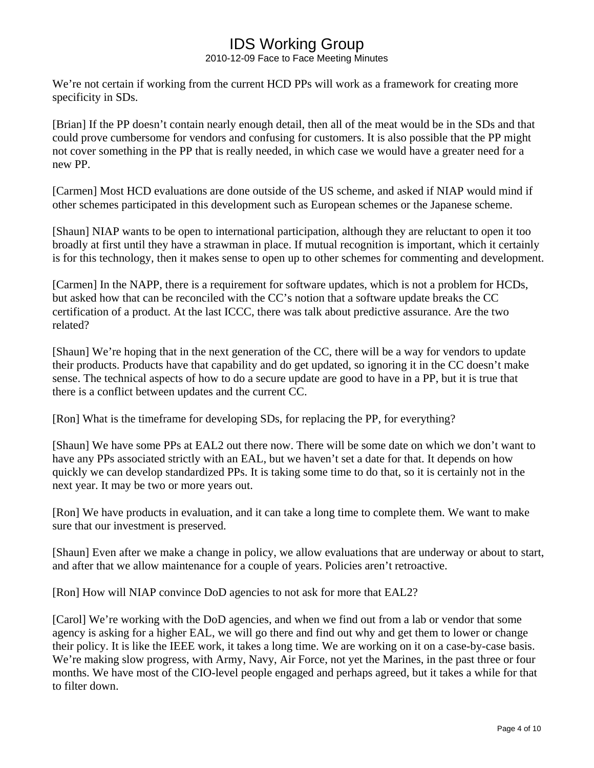2010-12-09 Face to Face Meeting Minutes

We're not certain if working from the current HCD PPs will work as a framework for creating more specificity in SDs.

[Brian] If the PP doesn't contain nearly enough detail, then all of the meat would be in the SDs and that could prove cumbersome for vendors and confusing for customers. It is also possible that the PP might not cover something in the PP that is really needed, in which case we would have a greater need for a new PP.

[Carmen] Most HCD evaluations are done outside of the US scheme, and asked if NIAP would mind if other schemes participated in this development such as European schemes or the Japanese scheme.

[Shaun] NIAP wants to be open to international participation, although they are reluctant to open it too broadly at first until they have a strawman in place. If mutual recognition is important, which it certainly is for this technology, then it makes sense to open up to other schemes for commenting and development.

[Carmen] In the NAPP, there is a requirement for software updates, which is not a problem for HCDs, but asked how that can be reconciled with the CC's notion that a software update breaks the CC certification of a product. At the last ICCC, there was talk about predictive assurance. Are the two related?

[Shaun] We're hoping that in the next generation of the CC, there will be a way for vendors to update their products. Products have that capability and do get updated, so ignoring it in the CC doesn't make sense. The technical aspects of how to do a secure update are good to have in a PP, but it is true that there is a conflict between updates and the current CC.

[Ron] What is the timeframe for developing SDs, for replacing the PP, for everything?

[Shaun] We have some PPs at EAL2 out there now. There will be some date on which we don't want to have any PPs associated strictly with an EAL, but we haven't set a date for that. It depends on how quickly we can develop standardized PPs. It is taking some time to do that, so it is certainly not in the next year. It may be two or more years out.

[Ron] We have products in evaluation, and it can take a long time to complete them. We want to make sure that our investment is preserved.

[Shaun] Even after we make a change in policy, we allow evaluations that are underway or about to start, and after that we allow maintenance for a couple of years. Policies aren't retroactive.

[Ron] How will NIAP convince DoD agencies to not ask for more that EAL2?

[Carol] We're working with the DoD agencies, and when we find out from a lab or vendor that some agency is asking for a higher EAL, we will go there and find out why and get them to lower or change their policy. It is like the IEEE work, it takes a long time. We are working on it on a case-by-case basis. We're making slow progress, with Army, Navy, Air Force, not yet the Marines, in the past three or four months. We have most of the CIO-level people engaged and perhaps agreed, but it takes a while for that to filter down.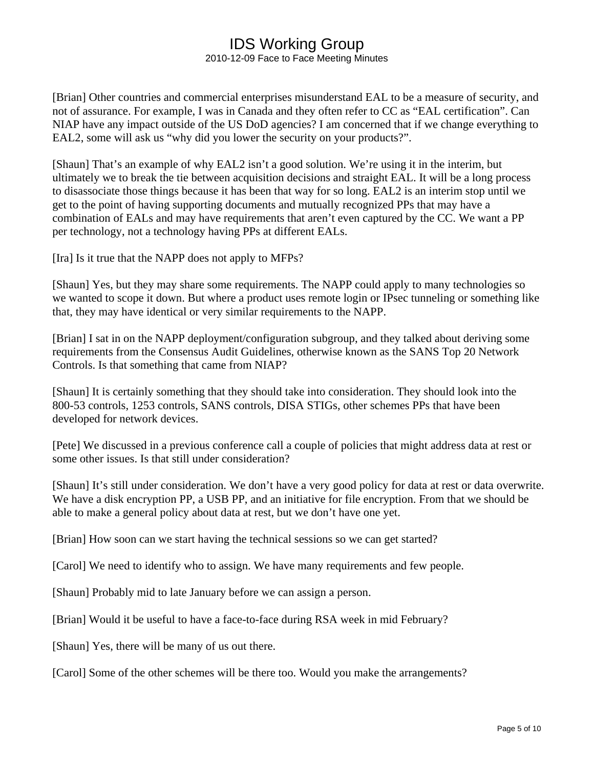## IDS Working Group 2010-12-09 Face to Face Meeting Minutes

[Brian] Other countries and commercial enterprises misunderstand EAL to be a measure of security, and not of assurance. For example, I was in Canada and they often refer to CC as "EAL certification". Can NIAP have any impact outside of the US DoD agencies? I am concerned that if we change everything to EAL2, some will ask us "why did you lower the security on your products?".

[Shaun] That's an example of why EAL2 isn't a good solution. We're using it in the interim, but ultimately we to break the tie between acquisition decisions and straight EAL. It will be a long process to disassociate those things because it has been that way for so long. EAL2 is an interim stop until we get to the point of having supporting documents and mutually recognized PPs that may have a combination of EALs and may have requirements that aren't even captured by the CC. We want a PP per technology, not a technology having PPs at different EALs.

[Ira] Is it true that the NAPP does not apply to MFPs?

[Shaun] Yes, but they may share some requirements. The NAPP could apply to many technologies so we wanted to scope it down. But where a product uses remote login or IPsec tunneling or something like that, they may have identical or very similar requirements to the NAPP.

[Brian] I sat in on the NAPP deployment/configuration subgroup, and they talked about deriving some requirements from the Consensus Audit Guidelines, otherwise known as the SANS Top 20 Network Controls. Is that something that came from NIAP?

[Shaun] It is certainly something that they should take into consideration. They should look into the 800-53 controls, 1253 controls, SANS controls, DISA STIGs, other schemes PPs that have been developed for network devices.

[Pete] We discussed in a previous conference call a couple of policies that might address data at rest or some other issues. Is that still under consideration?

[Shaun] It's still under consideration. We don't have a very good policy for data at rest or data overwrite. We have a disk encryption PP, a USB PP, and an initiative for file encryption. From that we should be able to make a general policy about data at rest, but we don't have one yet.

[Brian] How soon can we start having the technical sessions so we can get started?

[Carol] We need to identify who to assign. We have many requirements and few people.

[Shaun] Probably mid to late January before we can assign a person.

[Brian] Would it be useful to have a face-to-face during RSA week in mid February?

[Shaun] Yes, there will be many of us out there.

[Carol] Some of the other schemes will be there too. Would you make the arrangements?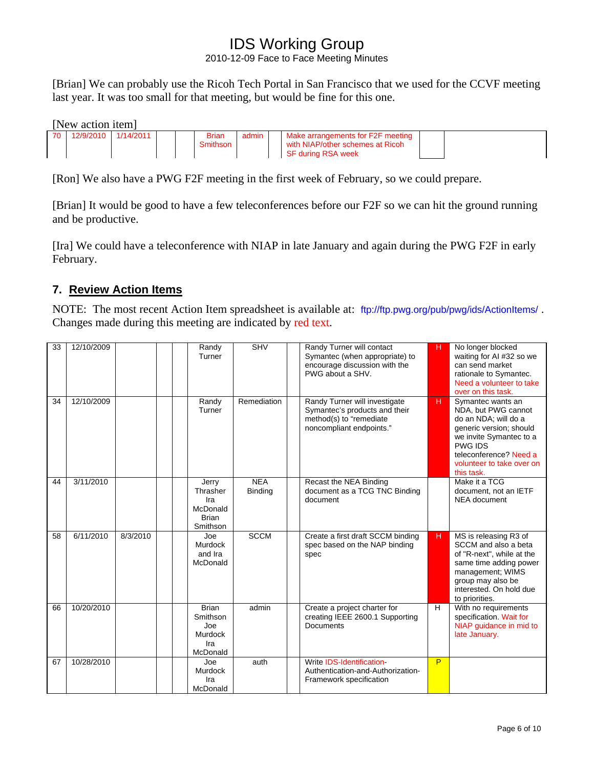2010-12-09 Face to Face Meeting Minutes

[Brian] We can probably use the Ricoh Tech Portal in San Francisco that we used for the CCVF meeting last year. It was too small for that meeting, but would be fine for this one.

|              | [New action item]   |  |  |                          |       |  |                                                                                             |  |  |  |  |  |
|--------------|---------------------|--|--|--------------------------|-------|--|---------------------------------------------------------------------------------------------|--|--|--|--|--|
| $70^{\circ}$ | 12/9/2010 1/14/2011 |  |  | <b>Brian</b><br>Smithson | admin |  | Make arrangements for F2F meeting<br>with NIAP/other schemes at Ricoh<br>SF during RSA week |  |  |  |  |  |

[Ron] We also have a PWG F2F meeting in the first week of February, so we could prepare.

[Brian] It would be good to have a few teleconferences before our F2F so we can hit the ground running and be productive.

[Ira] We could have a teleconference with NIAP in late January and again during the PWG F2F in early February.

## **7. Review Action Items**

NOTE: The most recent Action Item spreadsheet is available at: <ftp://ftp.pwg.org/pub/pwg/ids/ActionItems/> . Changes made during this meeting are indicated by red text.

| 33 | 12/10/2009 |          | Randy<br>Turner                                                  | <b>SHV</b>                   | Randy Turner will contact<br>Symantec (when appropriate) to<br>encourage discussion with the<br>PWG about a SHV.      | H | No longer blocked<br>waiting for AI #32 so we<br>can send market<br>rationale to Symantec.<br>Need a volunteer to take<br>over on this task.                                                                  |
|----|------------|----------|------------------------------------------------------------------|------------------------------|-----------------------------------------------------------------------------------------------------------------------|---|---------------------------------------------------------------------------------------------------------------------------------------------------------------------------------------------------------------|
| 34 | 12/10/2009 |          | Randy<br>Turner                                                  | Remediation                  | Randy Turner will investigate<br>Symantec's products and their<br>method(s) to "remediate<br>noncompliant endpoints." | H | Symantec wants an<br>NDA, but PWG cannot<br>do an NDA; will do a<br>generic version; should<br>we invite Symantec to a<br><b>PWG IDS</b><br>teleconference? Need a<br>volunteer to take over on<br>this task. |
| 44 | 3/11/2010  |          | Jerry<br>Thrasher<br>Ira<br>McDonald<br><b>Brian</b><br>Smithson | <b>NEA</b><br><b>Binding</b> | Recast the NEA Binding<br>document as a TCG TNC Binding<br>document                                                   |   | Make it a TCG<br>document, not an IETF<br>NEA document                                                                                                                                                        |
| 58 | 6/11/2010  | 8/3/2010 | Joe<br>Murdock<br>and Ira<br>McDonald                            | <b>SCCM</b>                  | Create a first draft SCCM binding<br>spec based on the NAP binding<br>spec                                            | H | MS is releasing R3 of<br>SCCM and also a beta<br>of "R-next", while at the<br>same time adding power<br>management; WIMS<br>group may also be<br>interested. On hold due<br>to priorities.                    |
| 66 | 10/20/2010 |          | <b>Brian</b><br>Smithson<br>Joe<br>Murdock<br>Ira<br>McDonald    | admin                        | Create a project charter for<br>creating IEEE 2600.1 Supporting<br>Documents                                          | H | With no requirements<br>specification. Wait for<br>NIAP guidance in mid to<br>late January.                                                                                                                   |
| 67 | 10/28/2010 |          | Joe<br>Murdock<br>Ira<br>McDonald                                | auth                         | Write IDS-Identification<br>Authentication-and-Authorization-<br>Framework specification                              | P |                                                                                                                                                                                                               |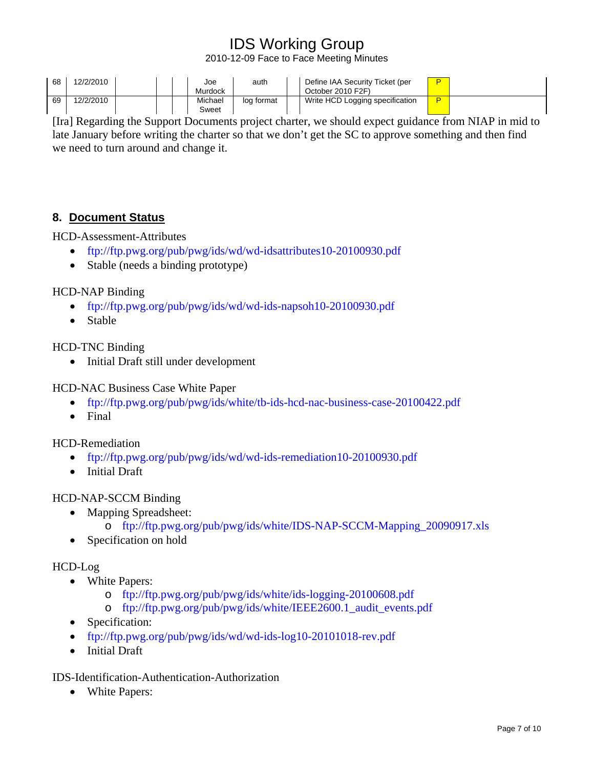2010-12-09 Face to Face Meeting Minutes

| 68 | 12/2/2010 |  | Joe<br>Murdock   | auth       | Define IAA Security Ticket (per<br>October 2010 F2F) |  |
|----|-----------|--|------------------|------------|------------------------------------------------------|--|
| 69 | 12/2/2010 |  | Michael<br>Sweet | log format | Write HCD Logging specification                      |  |

[Ira] Regarding the Support Documents project charter, we should expect guidance from NIAP in mid to late January before writing the charter so that we don't get the SC to approve something and then find we need to turn around and change it.

## **8. Document Status**

HCD-Assessment-Attributes

- <ftp://ftp.pwg.org/pub/pwg/ids/wd/wd-idsattributes10-20100930.pdf>
- Stable (needs a binding prototype)

#### HCD-NAP Binding

- <ftp://ftp.pwg.org/pub/pwg/ids/wd/wd-ids-napsoh10-20100930.pdf>
- Stable

#### HCD-TNC Binding

• Initial Draft still under development

HCD-NAC Business Case White Paper

- <ftp://ftp.pwg.org/pub/pwg/ids/white/tb-ids-hcd-nac-business-case-20100422.pdf>
- Final

### HCD-Remediation

- <ftp://ftp.pwg.org/pub/pwg/ids/wd/wd-ids-remediation10-20100930.pdf>
- Initial Draft

### HCD-NAP-SCCM Binding

- Mapping Spreadsheet:
	- o [ftp://ftp.pwg.org/pub/pwg/ids/white/IDS-NAP-SCCM-Mapping\\_20090917.xls](ftp://ftp.pwg.org/pub/pwg/ids/white/IDS-NAP-SCCM-Mapping_20090917.xls)
- Specification on hold

#### HCD-Log

- White Papers:
	- o <ftp://ftp.pwg.org/pub/pwg/ids/white/ids-logging-20100608.pdf>
	- o [ftp://ftp.pwg.org/pub/pwg/ids/white/IEEE2600.1\\_audit\\_events.pdf](ftp://ftp.pwg.org/pub/pwg/ids/white/IEEE2600.1_audit_events.pdf)
- Specification:
- [ftp://ftp.pwg.org/pub/pwg/ids/wd/wd-ids-log10-20101018-rev.pdf](ftp://ftp.pwg.org/pub/pwg/ids/wd/wd-ids-log10-20100803.pdf)
- Initial Draft

#### IDS-Identification-Authentication-Authorization

• White Papers: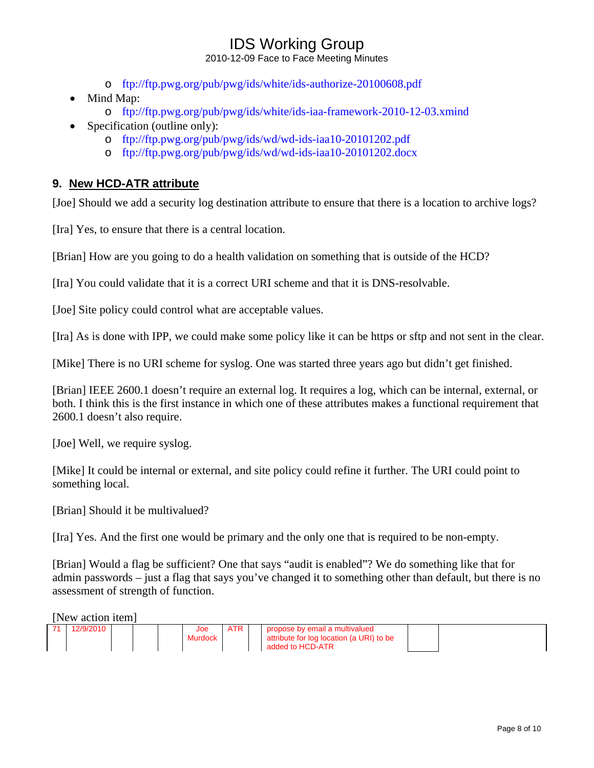2010-12-09 Face to Face Meeting Minutes

- o <ftp://ftp.pwg.org/pub/pwg/ids/white/ids-authorize-20100608.pdf>
- Mind Map:
	- o <ftp://ftp.pwg.org/pub/pwg/ids/white/ids-iaa-framework-2010-12-03.xmind>
- Specification (outline only):
	- o <ftp://ftp.pwg.org/pub/pwg/ids/wd/wd-ids-iaa10-20101202.pdf>
	- o <ftp://ftp.pwg.org/pub/pwg/ids/wd/wd-ids-iaa10-20101202.docx>

## **9. New HCD-ATR attribute**

[Joe] Should we add a security log destination attribute to ensure that there is a location to archive logs?

[Ira] Yes, to ensure that there is a central location.

[Brian] How are you going to do a health validation on something that is outside of the HCD?

[Ira] You could validate that it is a correct URI scheme and that it is DNS-resolvable.

[Joe] Site policy could control what are acceptable values.

[Ira] As is done with IPP, we could make some policy like it can be https or sftp and not sent in the clear.

[Mike] There is no URI scheme for syslog. One was started three years ago but didn't get finished.

[Brian] IEEE 2600.1 doesn't require an external log. It requires a log, which can be internal, external, or both. I think this is the first instance in which one of these attributes makes a functional requirement that 2600.1 doesn't also require.

[Joe] Well, we require syslog.

[Mike] It could be internal or external, and site policy could refine it further. The URI could point to something local.

[Brian] Should it be multivalued?

[Ira] Yes. And the first one would be primary and the only one that is required to be non-empty.

[Brian] Would a flag be sufficient? One that says "audit is enabled"? We do something like that for admin passwords – just a flag that says you've changed it to something other than default, but there is no assessment of strength of function.

[New action item]

| 12/9/2010 |  | Joe      | <b>ATD</b> | propose by email a multivalued           |  |
|-----------|--|----------|------------|------------------------------------------|--|
|           |  | waruuta. |            | attribute for log location (a URI) to be |  |
|           |  |          |            | added to HCD-ATR                         |  |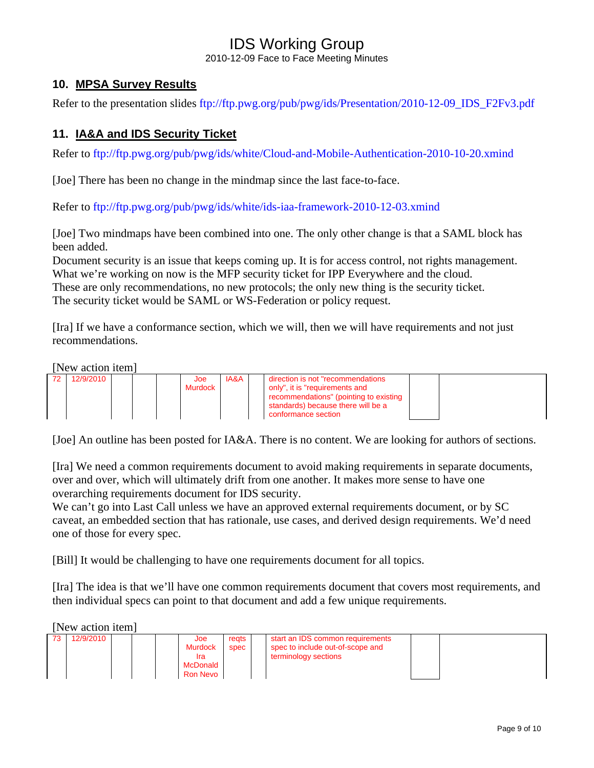2010-12-09 Face to Face Meeting Minutes

## **10. MPSA Survey Results**

Refer to the presentation slides [ftp://ftp.pwg.org/pub/pwg/ids/Presentation/2010-12-09\\_IDS\\_F2Fv3.pdf](ftp://ftp.pwg.org/pub/pwg/ids/Presentation/2010-12-09_IDS_F2Fv3.pdf)

#### **11. IA&A and IDS Security Ticket**

Refer to<ftp://ftp.pwg.org/pub/pwg/ids/white/Cloud-and-Mobile-Authentication-2010-10-20.xmind>

[Joe] There has been no change in the mindmap since the last face-to-face.

Refer to<ftp://ftp.pwg.org/pub/pwg/ids/white/ids-iaa-framework-2010-12-03.xmind>

[Joe] Two mindmaps have been combined into one. The only other change is that a SAML block has been added.

Document security is an issue that keeps coming up. It is for access control, not rights management. What we're working on now is the MFP security ticket for IPP Everywhere and the cloud. These are only recommendations, no new protocols; the only new thing is the security ticket. The security ticket would be SAML or WS-Federation or policy request.

[Ira] If we have a conformance section, which we will, then we will have requirements and not just recommendations.

[New action item]

| 12/9/2010 |  | Joe     | <b>IA&amp;A</b> | direction is not "recommendations"                                                                  |  |
|-----------|--|---------|-----------------|-----------------------------------------------------------------------------------------------------|--|
|           |  | Murdock |                 | only", it is "requirements and                                                                      |  |
|           |  |         |                 | recommendations" (pointing to existing<br>standards) because there will be a<br>conformance section |  |

[Joe] An outline has been posted for IA&A. There is no content. We are looking for authors of sections.

[Ira] We need a common requirements document to avoid making requirements in separate documents, over and over, which will ultimately drift from one another. It makes more sense to have one overarching requirements document for IDS security.

We can't go into Last Call unless we have an approved external requirements document, or by SC caveat, an embedded section that has rationale, use cases, and derived design requirements. We'd need one of those for every spec.

[Bill] It would be challenging to have one requirements document for all topics.

[Ira] The idea is that we'll have one common requirements document that covers most requirements, and then individual specs can point to that document and add a few unique requirements.

[New action item]

| 12/9/2010 |  | Joe<br><b>Murdock</b> | reats<br>spec | start an IDS common requirements<br>spec to include out-of-scope and |  |
|-----------|--|-----------------------|---------------|----------------------------------------------------------------------|--|
|           |  | Ira                   |               | terminology sections                                                 |  |
|           |  | McDonald              |               |                                                                      |  |
|           |  | <b>Ron Nevo</b>       |               |                                                                      |  |